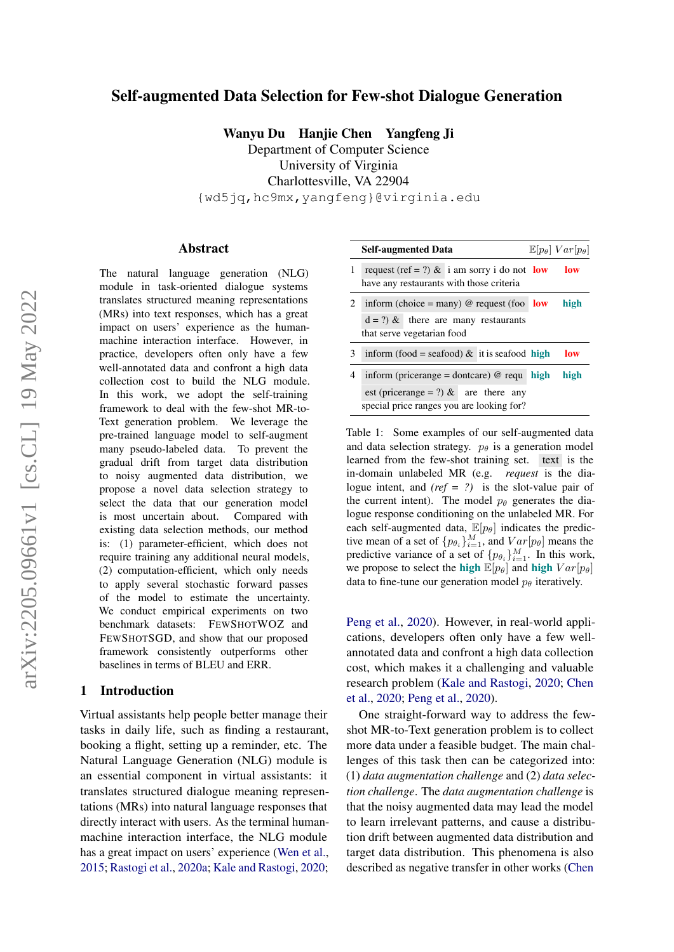# Self-augmented Data Selection for Few-shot Dialogue Generation

Wanyu Du Hanjie Chen Yangfeng Ji

Department of Computer Science University of Virginia Charlottesville, VA 22904 {wd5jq,hc9mx,yangfeng}@virginia.edu

#### Abstract

The natural language generation (NLG) module in task-oriented dialogue systems translates structured meaning representations (MRs) into text responses, which has a great impact on users' experience as the humanmachine interaction interface. However, in practice, developers often only have a few well-annotated data and confront a high data collection cost to build the NLG module. In this work, we adopt the self-training framework to deal with the few-shot MR-to-Text generation problem. We leverage the pre-trained language model to self-augment many pseudo-labeled data. To prevent the gradual drift from target data distribution to noisy augmented data distribution, we propose a novel data selection strategy to select the data that our generation model is most uncertain about. Compared with existing data selection methods, our method is: (1) parameter-efficient, which does not require training any additional neural models, (2) computation-efficient, which only needs to apply several stochastic forward passes of the model to estimate the uncertainty. We conduct empirical experiments on two benchmark datasets: FEWSHOTWOZ and FEWSHOTSGD, and show that our proposed framework consistently outperforms other baselines in terms of BLEU and ERR.

#### <span id="page-0-1"></span>1 Introduction

Virtual assistants help people better manage their tasks in daily life, such as finding a restaurant, booking a flight, setting up a reminder, etc. The Natural Language Generation (NLG) module is an essential component in virtual assistants: it translates structured dialogue meaning representations (MRs) into natural language responses that directly interact with users. As the terminal humanmachine interaction interface, the NLG module has a great impact on users' experience [\(Wen et al.,](#page-10-0) [2015;](#page-10-0) [Rastogi et al.,](#page-10-1) [2020a;](#page-10-1) [Kale and Rastogi,](#page-9-0) [2020;](#page-9-0)

<span id="page-0-0"></span>

|   | <b>Self-augmented Data</b>                                                              |      | $\mathbb{E}[p_{\theta}]\ Var[p_{\theta}]$ |
|---|-----------------------------------------------------------------------------------------|------|-------------------------------------------|
|   | request (ref = ?) & i am sorry i do not low<br>have any restaurants with those criteria |      | low                                       |
| 2 | inform (choice = many) @ request (foo $low$                                             |      | high                                      |
|   | $d = ?$ ) & there are many restaurants                                                  |      |                                           |
|   | that serve vegetarian food                                                              |      |                                           |
| 3 | inform (food = seafood) & it is seafood high                                            |      | low                                       |
| 4 | inform (pricerange = dontcare) $@$ requ                                                 | high | high                                      |
|   | est (pricerange = ?) & are there any                                                    |      |                                           |
|   | special price ranges you are looking for?                                               |      |                                           |

Table 1: Some examples of our self-augmented data and data selection strategy.  $p_{\theta}$  is a generation model learned from the few-shot training set. text is the in-domain unlabeled MR (e.g. *request* is the dialogue intent, and *(ref = ?)* is the slot-value pair of the current intent). The model  $p_\theta$  generates the dialogue response conditioning on the unlabeled MR. For each self-augmented data,  $\mathbb{E}[p_{\theta}]$  indicates the predictive mean of a set of  $\{p_{\theta_i}\}_{i=1}^M$ , and  $Var[p_{\theta}]$  means the predictive variance of a set of  $\{p_{\theta_i}\}_{i=1}^M$ . In this work, we propose to select the high  $\mathbb{E}[p_{\theta}]$  and high  $Var[p_{\theta}]$ data to fine-tune our generation model  $p_{\theta}$  iteratively.

[Peng et al.,](#page-9-1) [2020\)](#page-9-1). However, in real-world applications, developers often only have a few wellannotated data and confront a high data collection cost, which makes it a challenging and valuable research problem [\(Kale and Rastogi,](#page-9-0) [2020;](#page-9-0) [Chen](#page-8-0) [et al.,](#page-8-0) [2020;](#page-8-0) [Peng et al.,](#page-9-1) [2020\)](#page-9-1).

One straight-forward way to address the fewshot MR-to-Text generation problem is to collect more data under a feasible budget. The main challenges of this task then can be categorized into: (1) *data augmentation challenge* and (2) *data selection challenge*. The *data augmentation challenge* is that the noisy augmented data may lead the model to learn irrelevant patterns, and cause a distribution drift between augmented data distribution and target data distribution. This phenomena is also described as negative transfer in other works [\(Chen](#page-8-1)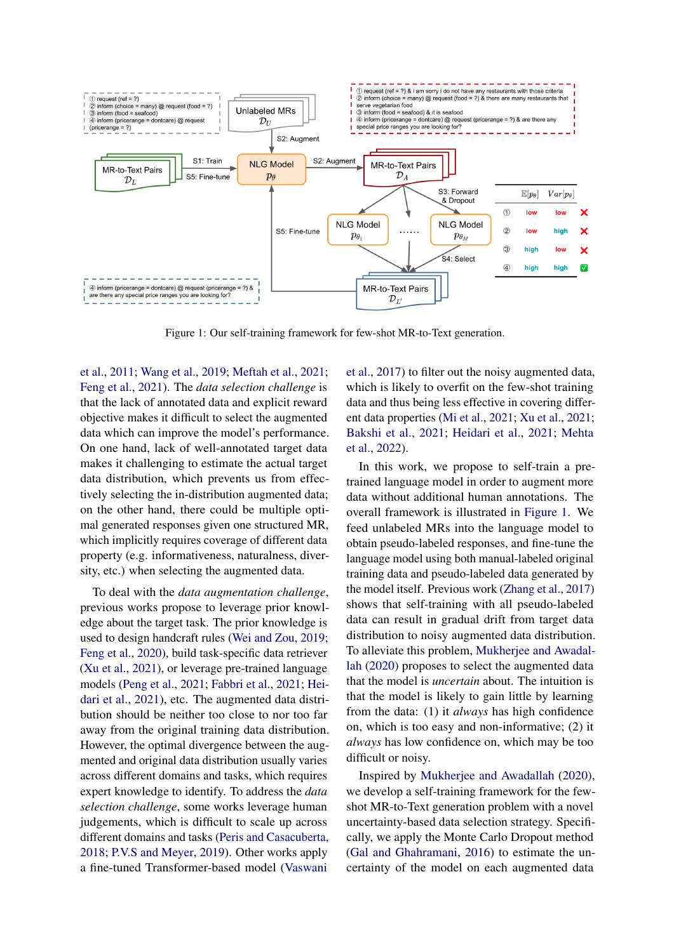<span id="page-1-0"></span>

Figure 1: Our self-training framework for few-shot MR-to-Text generation.

[et al.,](#page-8-1) [2011;](#page-8-1) [Wang et al.,](#page-10-2) [2019;](#page-10-2) [Meftah et al.,](#page-9-2) [2021;](#page-9-2) [Feng et al.,](#page-9-3) [2021\)](#page-9-3). The *data selection challenge* is that the lack of annotated data and explicit reward objective makes it difficult to select the augmented data which can improve the model's performance. On one hand, lack of well-annotated target data makes it challenging to estimate the actual target data distribution, which prevents us from effectively selecting the in-distribution augmented data; on the other hand, there could be multiple optimal generated responses given one structured MR, which implicitly requires coverage of different data property (e.g. informativeness, naturalness, diversity, etc.) when selecting the augmented data.

To deal with the *data augmentation challenge*, previous works propose to leverage prior knowledge about the target task. The prior knowledge is used to design handcraft rules [\(Wei and Zou,](#page-10-3) [2019;](#page-10-3) [Feng et al.,](#page-9-4) [2020\)](#page-9-4), build task-specific data retriever [\(Xu et al.,](#page-10-4) [2021\)](#page-10-4), or leverage pre-trained language models [\(Peng et al.,](#page-10-5) [2021;](#page-10-5) [Fabbri et al.,](#page-9-5) [2021;](#page-9-5) [Hei](#page-9-6)[dari et al.,](#page-9-6) [2021\)](#page-9-6), etc. The augmented data distribution should be neither too close to nor too far away from the original training data distribution. However, the optimal divergence between the augmented and original data distribution usually varies across different domains and tasks, which requires expert knowledge to identify. To address the *data selection challenge*, some works leverage human judgements, which is difficult to scale up across different domains and tasks [\(Peris and Casacuberta,](#page-10-6) [2018;](#page-10-6) [P.V.S and Meyer,](#page-10-7) [2019\)](#page-10-7). Other works apply a fine-tuned Transformer-based model [\(Vaswani](#page-10-8)

[et al.,](#page-10-8) [2017\)](#page-10-8) to filter out the noisy augmented data, which is likely to overfit on the few-shot training data and thus being less effective in covering different data properties [\(Mi et al.,](#page-9-7) [2021;](#page-9-7) [Xu et al.,](#page-10-4) [2021;](#page-10-4) [Bakshi et al.,](#page-8-2) [2021;](#page-8-2) [Heidari et al.,](#page-9-6) [2021;](#page-9-6) [Mehta](#page-9-8) [et al.,](#page-9-8) [2022\)](#page-9-8).

In this work, we propose to self-train a pretrained language model in order to augment more data without additional human annotations. The overall framework is illustrated in [Figure 1.](#page-1-0) We feed unlabeled MRs into the language model to obtain pseudo-labeled responses, and fine-tune the language model using both manual-labeled original training data and pseudo-labeled data generated by the model itself. Previous work [\(Zhang et al.,](#page-10-9) [2017\)](#page-10-9) shows that self-training with all pseudo-labeled data can result in gradual drift from target data distribution to noisy augmented data distribution. To alleviate this problem, [Mukherjee and Awadal](#page-9-9)[lah](#page-9-9) [\(2020\)](#page-9-9) proposes to select the augmented data that the model is *uncertain* about. The intuition is that the model is likely to gain little by learning from the data: (1) it *always* has high confidence on, which is too easy and non-informative; (2) it *always* has low confidence on, which may be too difficult or noisy.

Inspired by [Mukherjee and Awadallah](#page-9-9) [\(2020\)](#page-9-9), we develop a self-training framework for the fewshot MR-to-Text generation problem with a novel uncertainty-based data selection strategy. Specifically, we apply the Monte Carlo Dropout method [\(Gal and Ghahramani,](#page-9-10) [2016\)](#page-9-10) to estimate the uncertainty of the model on each augmented data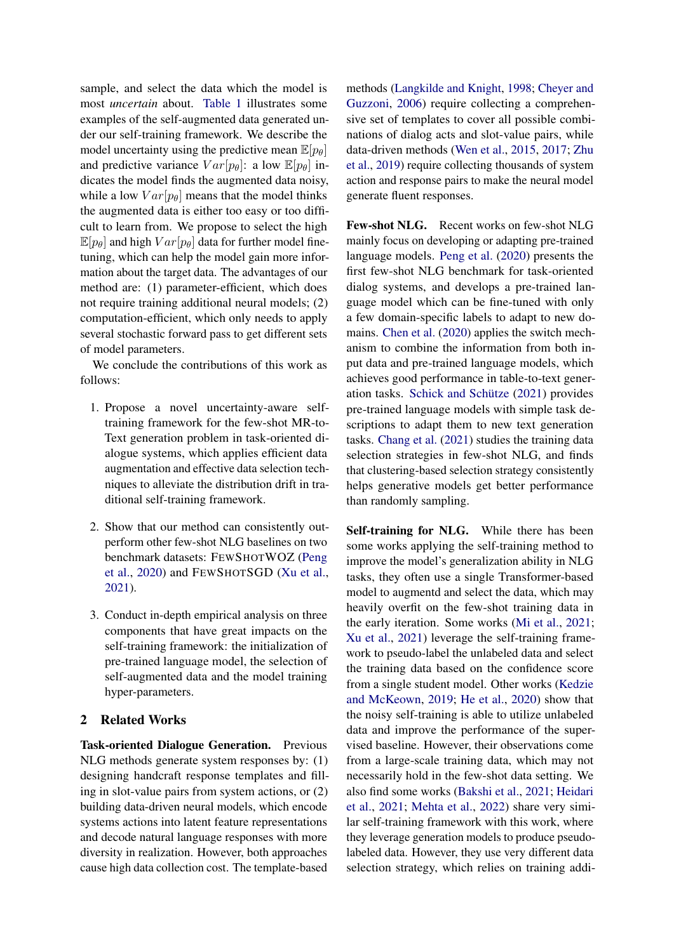sample, and select the data which the model is most *uncertain* about. [Table 1](#page-0-0) illustrates some examples of the self-augmented data generated under our self-training framework. We describe the model uncertainty using the predictive mean  $\mathbb{E}[p_{\theta}]$ and predictive variance  $Var[p_\theta]$ : a low  $\mathbb{E}[p_\theta]$  indicates the model finds the augmented data noisy, while a low  $Var[p_\theta]$  means that the model thinks the augmented data is either too easy or too difficult to learn from. We propose to select the high  $\mathbb{E}[p_{\theta}]$  and high  $Var[p_{\theta}]$  data for further model finetuning, which can help the model gain more information about the target data. The advantages of our method are: (1) parameter-efficient, which does not require training additional neural models; (2) computation-efficient, which only needs to apply several stochastic forward pass to get different sets of model parameters.

We conclude the contributions of this work as follows:

- 1. Propose a novel uncertainty-aware selftraining framework for the few-shot MR-to-Text generation problem in task-oriented dialogue systems, which applies efficient data augmentation and effective data selection techniques to alleviate the distribution drift in traditional self-training framework.
- 2. Show that our method can consistently outperform other few-shot NLG baselines on two benchmark datasets: FEWSHOTWOZ [\(Peng](#page-9-1) [et al.,](#page-9-1) [2020\)](#page-9-1) and FEWSHOTSGD [\(Xu et al.,](#page-10-4) [2021\)](#page-10-4).
- 3. Conduct in-depth empirical analysis on three components that have great impacts on the self-training framework: the initialization of pre-trained language model, the selection of self-augmented data and the model training hyper-parameters.

## 2 Related Works

Task-oriented Dialogue Generation. Previous NLG methods generate system responses by: (1) designing handcraft response templates and filling in slot-value pairs from system actions, or (2) building data-driven neural models, which encode systems actions into latent feature representations and decode natural language responses with more diversity in realization. However, both approaches cause high data collection cost. The template-based

methods [\(Langkilde and Knight,](#page-9-11) [1998;](#page-9-11) [Cheyer and](#page-9-12) [Guzzoni,](#page-9-12) [2006\)](#page-9-12) require collecting a comprehensive set of templates to cover all possible combinations of dialog acts and slot-value pairs, while data-driven methods [\(Wen et al.,](#page-10-0) [2015,](#page-10-0) [2017;](#page-10-10) [Zhu](#page-11-0) [et al.,](#page-11-0) [2019\)](#page-11-0) require collecting thousands of system action and response pairs to make the neural model generate fluent responses.

Few-shot NLG. Recent works on few-shot NLG mainly focus on developing or adapting pre-trained language models. [Peng et al.](#page-9-1) [\(2020\)](#page-9-1) presents the first few-shot NLG benchmark for task-oriented dialog systems, and develops a pre-trained language model which can be fine-tuned with only a few domain-specific labels to adapt to new domains. [Chen et al.](#page-8-0) [\(2020\)](#page-8-0) applies the switch mechanism to combine the information from both input data and pre-trained language models, which achieves good performance in table-to-text generation tasks. [Schick and Schütze](#page-10-11) [\(2021\)](#page-10-11) provides pre-trained language models with simple task descriptions to adapt them to new text generation tasks. [Chang et al.](#page-8-3) [\(2021\)](#page-8-3) studies the training data selection strategies in few-shot NLG, and finds that clustering-based selection strategy consistently helps generative models get better performance than randomly sampling.

Self-training for NLG. While there has been some works applying the self-training method to improve the model's generalization ability in NLG tasks, they often use a single Transformer-based model to augmentd and select the data, which may heavily overfit on the few-shot training data in the early iteration. Some works [\(Mi et al.,](#page-9-7) [2021;](#page-9-7) [Xu et al.,](#page-10-4) [2021\)](#page-10-4) leverage the self-training framework to pseudo-label the unlabeled data and select the training data based on the confidence score from a single student model. Other works [\(Kedzie](#page-9-13) [and McKeown,](#page-9-13) [2019;](#page-9-13) [He et al.,](#page-9-14) [2020\)](#page-9-14) show that the noisy self-training is able to utilize unlabeled data and improve the performance of the supervised baseline. However, their observations come from a large-scale training data, which may not necessarily hold in the few-shot data setting. We also find some works [\(Bakshi et al.,](#page-8-2) [2021;](#page-8-2) [Heidari](#page-9-6) [et al.,](#page-9-6) [2021;](#page-9-6) [Mehta et al.,](#page-9-8) [2022\)](#page-9-8) share very similar self-training framework with this work, where they leverage generation models to produce pseudolabeled data. However, they use very different data selection strategy, which relies on training addi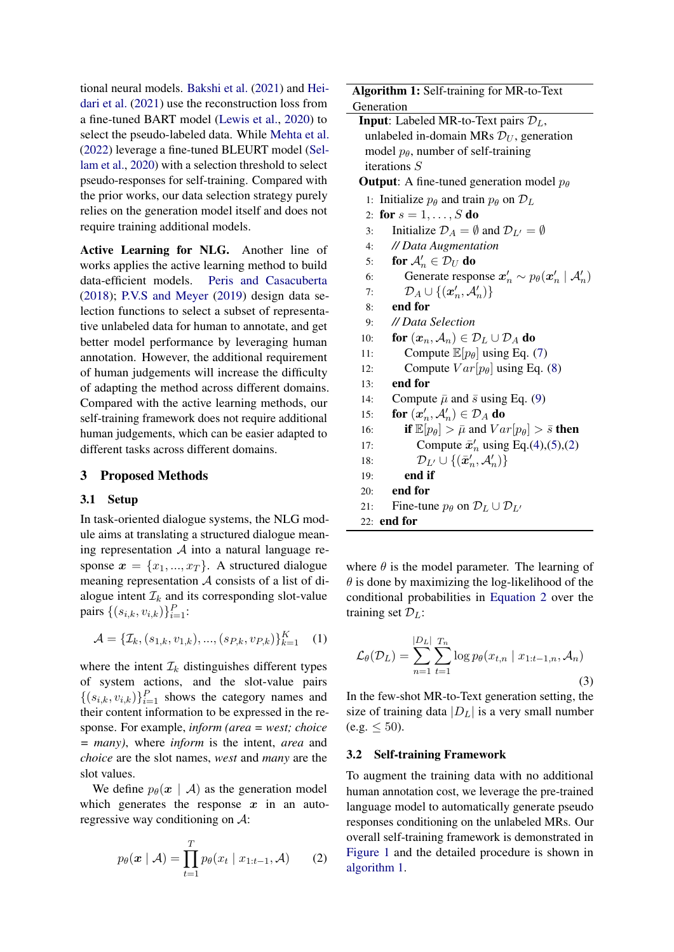tional neural models. [Bakshi et al.](#page-8-2) [\(2021\)](#page-8-2) and [Hei](#page-9-6)[dari et al.](#page-9-6) [\(2021\)](#page-9-6) use the reconstruction loss from a fine-tuned BART model [\(Lewis et al.,](#page-9-15) [2020\)](#page-9-15) to select the pseudo-labeled data. While [Mehta et al.](#page-9-8) [\(2022\)](#page-9-8) leverage a fine-tuned BLEURT model [\(Sel](#page-10-12)[lam et al.,](#page-10-12) [2020\)](#page-10-12) with a selection threshold to select pseudo-responses for self-training. Compared with the prior works, our data selection strategy purely relies on the generation model itself and does not require training additional models.

Active Learning for NLG. Another line of works applies the active learning method to build data-efficient models. [Peris and Casacuberta](#page-10-6) [\(2018\)](#page-10-6); [P.V.S and Meyer](#page-10-7) [\(2019\)](#page-10-7) design data selection functions to select a subset of representative unlabeled data for human to annotate, and get better model performance by leveraging human annotation. However, the additional requirement of human judgements will increase the difficulty of adapting the method across different domains. Compared with the active learning methods, our self-training framework does not require additional human judgements, which can be easier adapted to different tasks across different domains.

#### 3 Proposed Methods

#### 3.1 Setup

In task-oriented dialogue systems, the NLG module aims at translating a structured dialogue meaning representation  $A$  into a natural language response  $x = \{x_1, ..., x_T\}$ . A structured dialogue meaning representation  $A$  consists of a list of dialogue intent  $\mathcal{I}_k$  and its corresponding slot-value pairs  $\{(s_{i,k}, v_{i,k})\}_{i=1}^P$ :

$$
\mathcal{A} = \{ \mathcal{I}_k, (s_{1,k}, v_{1,k}), ..., (s_{P,k}, v_{P,k}) \}_{k=1}^K \quad (1)
$$

where the intent  $\mathcal{I}_k$  distinguishes different types of system actions, and the slot-value pairs  $\{(s_{i,k}, v_{i,k})\}_{i=1}^P$  shows the category names and their content information to be expressed in the response. For example, *inform (area = west; choice = many)*, where *inform* is the intent, *area* and *choice* are the slot names, *west* and *many* are the slot values.

We define  $p_{\theta}(x \mid \mathcal{A})$  as the generation model which generates the response  $x$  in an autoregressive way conditioning on A:

$$
p_{\theta}(\boldsymbol{x} \mid \mathcal{A}) = \prod_{t=1}^{T} p_{\theta}(x_t \mid x_{1:t-1}, \mathcal{A}) \qquad (2)
$$

Algorithm 1: Self-training for MR-to-Text

<span id="page-3-1"></span>

| Generation                                                                                        |  |  |  |  |  |  |
|---------------------------------------------------------------------------------------------------|--|--|--|--|--|--|
| <b>Input:</b> Labeled MR-to-Text pairs $\mathcal{D}_L$ ,                                          |  |  |  |  |  |  |
| unlabeled in-domain MRs $\mathcal{D}_U$ , generation                                              |  |  |  |  |  |  |
| model $p_{\theta}$ , number of self-training                                                      |  |  |  |  |  |  |
| iterations $S$                                                                                    |  |  |  |  |  |  |
| <b>Output</b> : A fine-tuned generation model $p_{\theta}$                                        |  |  |  |  |  |  |
| 1: Initialize $p_{\theta}$ and train $p_{\theta}$ on $\mathcal{D}_L$                              |  |  |  |  |  |  |
| 2: for $s = 1, , S$ do                                                                            |  |  |  |  |  |  |
| Initialize $\mathcal{D}_A = \emptyset$ and $\mathcal{D}_{L'} = \emptyset$<br>3:                   |  |  |  |  |  |  |
| // Data Augmentation<br>4:                                                                        |  |  |  |  |  |  |
| for $\mathcal{A}'_n \in \mathcal{D}_U$ do<br>5:                                                   |  |  |  |  |  |  |
| Generate response $x'_n \sim p_\theta(x'_n \mid \mathcal{A}'_n)$<br>6:                            |  |  |  |  |  |  |
| $\mathcal{D}_A \cup \{(\boldsymbol{x}'_n, \mathcal{A}'_n)\}\$<br>7:                               |  |  |  |  |  |  |
| end for<br>8:                                                                                     |  |  |  |  |  |  |
| // Data Selection<br>9:                                                                           |  |  |  |  |  |  |
| for $(x_n, A_n) \in \mathcal{D}_L \cup \mathcal{D}_A$ do<br>10:                                   |  |  |  |  |  |  |
| Compute $\mathbb{E}[p_{\theta}]$ using Eq. (7)<br>11:                                             |  |  |  |  |  |  |
| Compute $Var[p_\theta]$ using Eq. (8)<br>12:                                                      |  |  |  |  |  |  |
| end for<br>13:                                                                                    |  |  |  |  |  |  |
| Compute $\bar{\mu}$ and $\bar{s}$ using Eq. (9)<br>14:                                            |  |  |  |  |  |  |
| for $(\boldsymbol{x}_n', \mathcal{A}_n') \in \mathcal{D}_A$ do<br>15:                             |  |  |  |  |  |  |
| <b>if</b> $\mathbb{E}[p_{\theta}] > \bar{\mu}$ and $Var[p_{\theta}] > \bar{s}$ <b>then</b><br>16: |  |  |  |  |  |  |
| Compute $\bar{x}'_n$ using Eq.(4),(5),(2)<br>17:                                                  |  |  |  |  |  |  |
| ${\cal D}_{L'} \cup \{(\bar{\pmb{x}}_n', {\cal A}_n')\}$<br>18:                                   |  |  |  |  |  |  |
| end if<br>19:                                                                                     |  |  |  |  |  |  |
| end for<br>20:                                                                                    |  |  |  |  |  |  |
| Fine-tune $p_{\theta}$ on $\mathcal{D}_L \cup \mathcal{D}_{L'}$<br>21:                            |  |  |  |  |  |  |
| $22:$ end for                                                                                     |  |  |  |  |  |  |

where  $\theta$  is the model parameter. The learning of  $\theta$  is done by maximizing the log-likelihood of the conditional probabilities in [Equation 2](#page-3-0) over the training set  $\mathcal{D}_L$ :

$$
\mathcal{L}_{\theta}(\mathcal{D}_{L}) = \sum_{n=1}^{|D_{L}|} \sum_{t=1}^{T_{n}} \log p_{\theta}(x_{t,n} | x_{1:t-1,n}, \mathcal{A}_{n})
$$
\n(3)

In the few-shot MR-to-Text generation setting, the size of training data  $|D_L|$  is a very small number  $(e.g. < 50)$ .

#### 3.2 Self-training Framework

<span id="page-3-0"></span>To augment the training data with no additional human annotation cost, we leverage the pre-trained language model to automatically generate pseudo responses conditioning on the unlabeled MRs. Our overall self-training framework is demonstrated in [Figure 1](#page-1-0) and the detailed procedure is shown in [algorithm 1.](#page-3-1)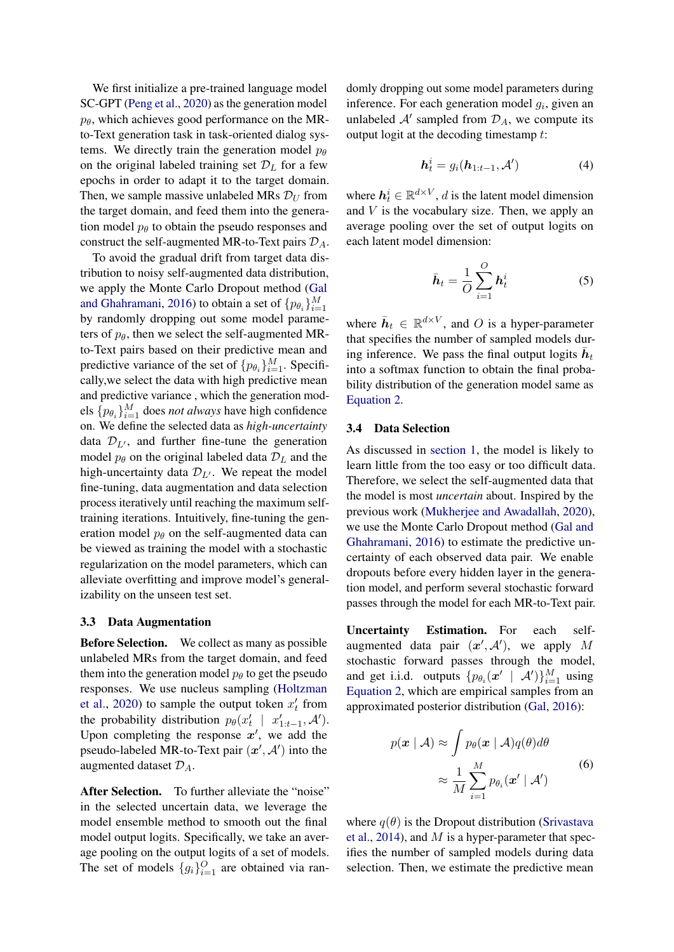We first initialize a pre-trained language model SC-GPT [\(Peng et al.,](#page-9-1) [2020\)](#page-9-1) as the generation model  $p_{\theta}$ , which achieves good performance on the MRto-Text generation task in task-oriented dialog systems. We directly train the generation model  $p_{\theta}$ on the original labeled training set  $\mathcal{D}_L$  for a few epochs in order to adapt it to the target domain. Then, we sample massive unlabeled MRs  $\mathcal{D}_U$  from the target domain, and feed them into the generation model  $p_{\theta}$  to obtain the pseudo responses and construct the self-augmented MR-to-Text pairs  $\mathcal{D}_A$ .

To avoid the gradual drift from target data distribution to noisy self-augmented data distribution, we apply the Monte Carlo Dropout method [\(Gal](#page-9-10) [and Ghahramani,](#page-9-10) [2016\)](#page-9-10) to obtain a set of  $\{p_{\theta_i}\}_{i=1}^M$ by randomly dropping out some model parameters of  $p_{\theta}$ , then we select the self-augmented MRto-Text pairs based on their predictive mean and predictive variance of the set of  $\{p_{\theta_i}\}_{i=1}^M$ . Specifically,we select the data with high predictive mean and predictive variance , which the generation models  $\{p_{\theta_i}\}_{i=1}^M$  does *not always* have high confidence on. We define the selected data as *high-uncertainty* data  $\mathcal{D}_{L}$ , and further fine-tune the generation model  $p_\theta$  on the original labeled data  $\mathcal{D}_L$  and the high-uncertainty data  $\mathcal{D}_{L'}$ . We repeat the model fine-tuning, data augmentation and data selection process iteratively until reaching the maximum selftraining iterations. Intuitively, fine-tuning the generation model  $p_{\theta}$  on the self-augmented data can be viewed as training the model with a stochastic regularization on the model parameters, which can alleviate overfitting and improve model's generalizability on the unseen test set.

#### 3.3 Data Augmentation

Before Selection. We collect as many as possible unlabeled MRs from the target domain, and feed them into the generation model  $p_\theta$  to get the pseudo responses. We use nucleus sampling [\(Holtzman](#page-9-16) [et al.,](#page-9-16) [2020\)](#page-9-16) to sample the output token  $x'_t$  from the probability distribution  $p_{\theta}(x_t' \mid x_{1:t-1}', \mathcal{A}')$ . Upon completing the response  $x'$ , we add the pseudo-labeled MR-to-Text pair  $(x', A')$  into the augmented dataset  $\mathcal{D}_A$ .

After Selection. To further alleviate the "noise" in the selected uncertain data, we leverage the model ensemble method to smooth out the final model output logits. Specifically, we take an average pooling on the output logits of a set of models. The set of models  ${g_i}_{i=1}^O$  are obtained via randomly dropping out some model parameters during inference. For each generation model  $g_i$ , given an unlabeled  $A'$  sampled from  $\mathcal{D}_A$ , we compute its output logit at the decoding timestamp  $t$ :

<span id="page-4-0"></span>
$$
\boldsymbol{h}_t^i = g_i(\boldsymbol{h}_{1:t-1}, \mathcal{A}^\prime) \tag{4}
$$

where  $h_t^i \in \mathbb{R}^{d \times V}$ , d is the latent model dimension and  $V$  is the vocabulary size. Then, we apply an average pooling over the set of output logits on each latent model dimension:

<span id="page-4-1"></span>
$$
\bar{\boldsymbol{h}}_t = \frac{1}{O} \sum_{i=1}^{O} \boldsymbol{h}_t^i
$$
 (5)

where  $\bar{h}_t \in \mathbb{R}^{d \times V}$ , and O is a hyper-parameter that specifies the number of sampled models during inference. We pass the final output logits  $\bar{h}_t$ into a softmax function to obtain the final probability distribution of the generation model same as [Equation 2.](#page-3-0)

#### 3.4 Data Selection

As discussed in [section 1,](#page-0-1) the model is likely to learn little from the too easy or too difficult data. Therefore, we select the self-augmented data that the model is most *uncertain* about. Inspired by the previous work [\(Mukherjee and Awadallah,](#page-9-9) [2020\)](#page-9-9), we use the Monte Carlo Dropout method [\(Gal and](#page-9-10) [Ghahramani,](#page-9-10) [2016\)](#page-9-10) to estimate the predictive uncertainty of each observed data pair. We enable dropouts before every hidden layer in the generation model, and perform several stochastic forward passes through the model for each MR-to-Text pair.

Uncertainty Estimation. For each selfaugmented data pair  $(x', A')$ , we apply M stochastic forward passes through the model, and get i.i.d. outputs  $\{p_{\theta_i}(\mathbf{x}' \mid \mathcal{A}')\}_{i=1}^M$  using [Equation 2,](#page-3-0) which are empirical samples from an approximated posterior distribution [\(Gal,](#page-9-17) [2016\)](#page-9-17):

$$
p(\mathbf{x} \mid \mathcal{A}) \approx \int p_{\theta}(\mathbf{x} \mid \mathcal{A}) q(\theta) d\theta
$$

$$
\approx \frac{1}{M} \sum_{i=1}^{M} p_{\theta_i}(\mathbf{x}' \mid \mathcal{A}')
$$
(6)

where  $q(\theta)$  is the Dropout distribution [\(Srivastava](#page-10-13) [et al.,](#page-10-13) [2014\)](#page-10-13), and M is a hyper-parameter that specifies the number of sampled models during data selection. Then, we estimate the predictive mean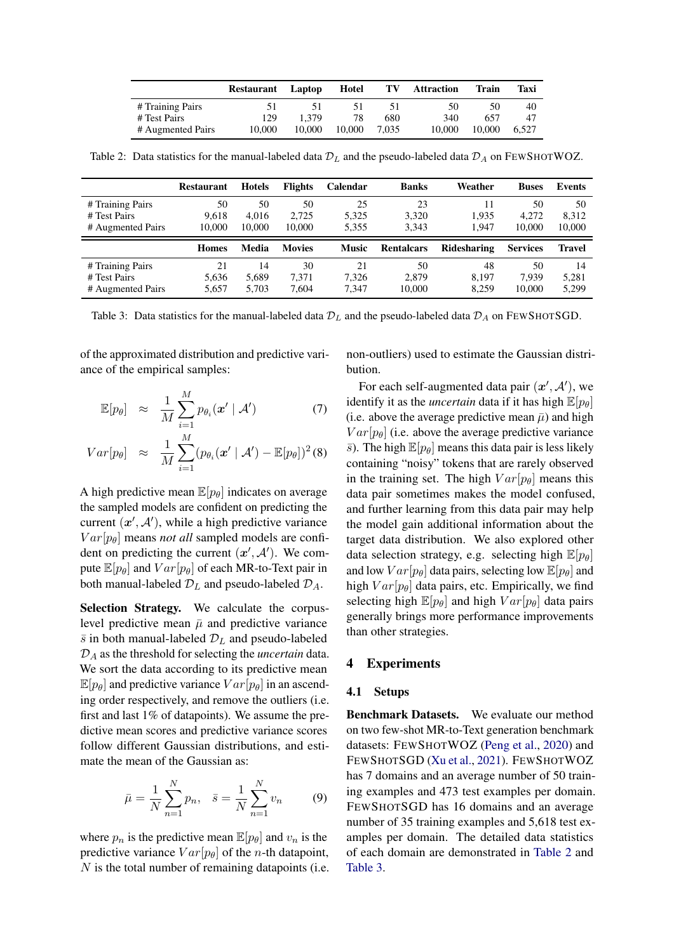<span id="page-5-2"></span>

|                   | Restaurant | Laptop | Hotel  | ТV    | <b>Attraction</b> | Train  | Taxi  |
|-------------------|------------|--------|--------|-------|-------------------|--------|-------|
| # Training Pairs  |            |        |        | ו כ   | 50                | 50     | 40    |
| # Test Pairs      | 129        | 1.379  | 78     | 680   | 340               | 657    | 47    |
| # Augmented Pairs | 10.000     | 10.000 | 10.000 | 7.035 | 10,000            | 10.000 | 6.527 |

Table 2: Data statistics for the manual-labeled data  $\mathcal{D}_L$  and the pseudo-labeled data  $\mathcal{D}_A$  on FEWSHOTWOZ.

<span id="page-5-3"></span>

|                                                       | <b>Restaurant</b>     | Hotels                | <b>Flights</b>        | <b>Calendar</b>      | <b>Banks</b>         | Weather              | <b>Buses</b>          | <b>Events</b>         |
|-------------------------------------------------------|-----------------------|-----------------------|-----------------------|----------------------|----------------------|----------------------|-----------------------|-----------------------|
| # Training Pairs<br># Test Pairs<br># Augmented Pairs | 50<br>9.618<br>10.000 | 50<br>4.016<br>10.000 | 50<br>2.725<br>10,000 | 25<br>5.325<br>5.355 | 23<br>3.320<br>3.343 | 11<br>1.935<br>1.947 | 50<br>4.272<br>10,000 | 50<br>8.312<br>10.000 |
|                                                       |                       |                       |                       |                      |                      |                      |                       |                       |
|                                                       | <b>Homes</b>          | Media                 | <b>Movies</b>         | <b>Music</b>         | <b>Rentalcars</b>    | Ridesharing          | <b>Services</b>       | Travel                |

Table 3: Data statistics for the manual-labeled data  $\mathcal{D}_L$  and the pseudo-labeled data  $\mathcal{D}_A$  on FEWSHOTSGD.

of the approximated distribution and predictive variance of the empirical samples:

<span id="page-5-0"></span>
$$
\mathbb{E}[p_{\theta}] \quad \approx \quad \frac{1}{M} \sum_{i=1}^{M} p_{\theta_i}(\boldsymbol{x}' \mid \mathcal{A}') \tag{7}
$$

$$
Var[p_{\theta}] \approx \frac{1}{M} \sum_{i=1}^{M} (p_{\theta_i}(\mathbf{x}' \mid \mathcal{A}') - \mathbb{E}[p_{\theta}])^2 (8)
$$

A high predictive mean  $\mathbb{E}[p_{\theta}]$  indicates on average the sampled models are confident on predicting the current  $(x', A')$ , while a high predictive variance  $Var[p_\theta]$  means *not all* sampled models are confident on predicting the current  $(x', A')$ . We compute  $\mathbb{E}[p_{\theta}]$  and  $Var[p_{\theta}]$  of each MR-to-Text pair in both manual-labeled  $\mathcal{D}_L$  and pseudo-labeled  $\mathcal{D}_A$ .

Selection Strategy. We calculate the corpuslevel predictive mean  $\bar{\mu}$  and predictive variance  $\bar{s}$  in both manual-labeled  $\mathcal{D}_L$  and pseudo-labeled D<sup>A</sup> as the threshold for selecting the *uncertain* data. We sort the data according to its predictive mean  $\mathbb{E}[p_{\theta}]$  and predictive variance  $Var[p_{\theta}]$  in an ascending order respectively, and remove the outliers (i.e. first and last 1% of datapoints). We assume the predictive mean scores and predictive variance scores follow different Gaussian distributions, and estimate the mean of the Gaussian as:

$$
\bar{\mu} = \frac{1}{N} \sum_{n=1}^{N} p_n, \quad \bar{s} = \frac{1}{N} \sum_{n=1}^{N} v_n \tag{9}
$$

where  $p_n$  is the predictive mean  $\mathbb{E}[p_{\theta}]$  and  $v_n$  is the predictive variance  $Var[p_\theta]$  of the *n*-th datapoint,  $N$  is the total number of remaining datapoints (i.e. non-outliers) used to estimate the Gaussian distribution.

For each self-augmented data pair  $(x', A')$ , we identify it as the *uncertain* data if it has high  $\mathbb{E}[p_{\theta}]$ (i.e. above the average predictive mean  $\bar{\mu}$ ) and high  $Var[p_\theta]$  (i.e. above the average predictive variance  $\bar{s}$ ). The high  $\mathbb{E}[p_{\theta}]$  means this data pair is less likely containing "noisy" tokens that are rarely observed in the training set. The high  $Var[p_\theta]$  means this data pair sometimes makes the model confused, and further learning from this data pair may help the model gain additional information about the target data distribution. We also explored other data selection strategy, e.g. selecting high  $\mathbb{E}[p_{\theta}]$ and low  $Var[p_\theta]$  data pairs, selecting low  $\mathbb{E}[p_\theta]$  and high  $Var[p_\theta]$  data pairs, etc. Empirically, we find selecting high  $\mathbb{E}[p_{\theta}]$  and high  $Var[p_{\theta}]$  data pairs generally brings more performance improvements than other strategies.

### 4 Experiments

#### 4.1 Setups

<span id="page-5-1"></span>Benchmark Datasets. We evaluate our method on two few-shot MR-to-Text generation benchmark datasets: FEWSHOTWOZ [\(Peng et al.,](#page-9-1) [2020\)](#page-9-1) and FEWSHOTSGD [\(Xu et al.,](#page-10-4) [2021\)](#page-10-4). FEWSHOTWOZ has 7 domains and an average number of 50 training examples and 473 test examples per domain. FEWSHOTSGD has 16 domains and an average number of 35 training examples and 5,618 test examples per domain. The detailed data statistics of each domain are demonstrated in [Table 2](#page-5-2) and [Table 3.](#page-5-3)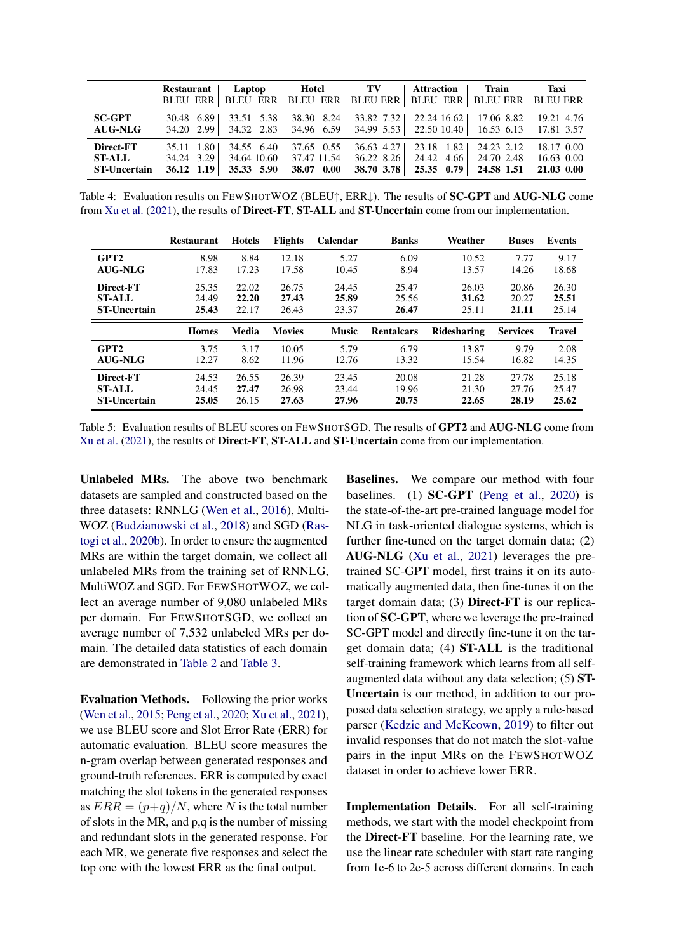<span id="page-6-0"></span>

|                     | <b>Restaurant</b> | Laptop          | Hotel           | TV           | <b>Attraction</b>  | <b>Train</b>    | Taxi            |
|---------------------|-------------------|-----------------|-----------------|--------------|--------------------|-----------------|-----------------|
|                     | <b>BLEU ERR</b>   | <b>BLEU ERR</b> | <b>BLEU ERR</b> | BLEU ERR     | <b>BLEU ERR</b>    | <b>BLEU ERR</b> | <b>BLEU ERR</b> |
| <b>SC-GPT</b>       | 30.48 6.89        | 33.51 5.38      | 38.30 8.24      | 33.82 7.32   | 22.24 16.62        | $17.06$ 8.82    | 19.21 4.76      |
| <b>AUG-NLG</b>      | 34.20 2.99        | 34.32 2.83      | 34.96 6.59      | $34.99$ 5.53 | 22.50 10.40        | 16.53 6.13      | 17.81 3.57      |
| Direct-FT           | 35.11 1.80        | 34.55 6.40      | $37.65$ 0.55    | $36.63$ 4.27 | 23.18 1.82         | 24.23 2.12      | 18.17 0.00      |
| <b>ST-ALL</b>       | 34.24 3.29        | 34.64 10.60     | 37.47 11.54     | 36.22 8.26   | 24.42 4.66         | 24.70 2.48      | 16.63 0.00      |
| <b>ST-Uncertain</b> | 36.12 1.19        | 35.33 5.90      | 38.07 0.00      | 38.70 3.78   | $25.35 \quad 0.79$ | 24.58 1.51      | 21.03 0.00      |

Table 4: Evaluation results on FEWSHOTWOZ (BLEU↑, ERR↓). The results of SC-GPT and AUG-NLG come from [Xu et al.](#page-10-4) [\(2021\)](#page-10-4), the results of Direct-FT, ST-ALL and ST-Uncertain come from our implementation.

<span id="page-6-1"></span>

|                     | <b>Restaurant</b> | <b>Hotels</b> | <b>Flights</b> | Calendar     | <b>Banks</b>      | Weather     | <b>Buses</b>    | <b>Events</b> |
|---------------------|-------------------|---------------|----------------|--------------|-------------------|-------------|-----------------|---------------|
| GPT <sub>2</sub>    | 8.98              | 8.84          | 12.18          | 5.27         | 6.09              | 10.52       | 7.77            | 9.17          |
| <b>AUG-NLG</b>      | 17.83             | 17.23         | 17.58          | 10.45        | 8.94              | 13.57       | 14.26           | 18.68         |
| Direct-FT           | 25.35             | 22.02         | 26.75          | 24.45        | 25.47             | 26.03       | 20.86           | 26.30         |
| <b>ST-ALL</b>       | 24.49             | 22.20         | 27.43          | 25.89        | 25.56             | 31.62       | 20.27           | 25.51         |
| <b>ST-Uncertain</b> | 25.43             | 22.17         | 26.43          | 23.37        | 26.47             | 25.11       | 21.11           | 25.14         |
|                     |                   |               |                |              |                   |             |                 |               |
|                     | <b>Homes</b>      | Media         | <b>Movies</b>  | <b>Music</b> | <b>Rentalcars</b> | Ridesharing | <b>Services</b> | <b>Travel</b> |
| GPT <sub>2</sub>    | 3.75              | 3.17          | 10.05          | 5.79         | 6.79              | 13.87       | 9.79            | 2.08          |
| AUG-NLG             | 12.27             | 8.62          | 11.96          | 12.76        | 13.32             | 15.54       | 16.82           | 14.35         |
| Direct-FT           | 24.53             | 26.55         | 26.39          | 23.45        | 20.08             | 21.28       | 27.78           | 25.18         |
| <b>ST-ALL</b>       | 24.45             | 27.47         | 26.98          | 23.44        | 19.96             | 21.30       | 27.76           | 25.47         |

Table 5: Evaluation results of BLEU scores on FEWSHOTSGD. The results of GPT2 and AUG-NLG come from [Xu et al.](#page-10-4) [\(2021\)](#page-10-4), the results of Direct-FT, ST-ALL and ST-Uncertain come from our implementation.

Unlabeled MRs. The above two benchmark datasets are sampled and constructed based on the three datasets: RNNLG [\(Wen et al.,](#page-10-14) [2016\)](#page-10-14), Multi-WOZ [\(Budzianowski et al.,](#page-8-4) [2018\)](#page-8-4) and SGD [\(Ras](#page-10-15)[togi et al.,](#page-10-15) [2020b\)](#page-10-15). In order to ensure the augmented MRs are within the target domain, we collect all unlabeled MRs from the training set of RNNLG, MultiWOZ and SGD. For FEWSHOTWOZ, we collect an average number of 9,080 unlabeled MRs per domain. For FEWSHOTSGD, we collect an average number of 7,532 unlabeled MRs per domain. The detailed data statistics of each domain are demonstrated in [Table 2](#page-5-2) and [Table 3.](#page-5-3)

Evaluation Methods. Following the prior works [\(Wen et al.,](#page-10-0) [2015;](#page-10-0) [Peng et al.,](#page-9-1) [2020;](#page-9-1) [Xu et al.,](#page-10-4) [2021\)](#page-10-4), we use BLEU score and Slot Error Rate (ERR) for automatic evaluation. BLEU score measures the n-gram overlap between generated responses and ground-truth references. ERR is computed by exact matching the slot tokens in the generated responses as  $ERR = (p+q)/N$ , where N is the total number of slots in the MR, and p,q is the number of missing and redundant slots in the generated response. For each MR, we generate five responses and select the top one with the lowest ERR as the final output.

Baselines. We compare our method with four baselines. (1) SC-GPT [\(Peng et al.,](#page-9-1) [2020\)](#page-9-1) is the state-of-the-art pre-trained language model for NLG in task-oriented dialogue systems, which is further fine-tuned on the target domain data; (2) AUG-NLG [\(Xu et al.,](#page-10-4) [2021\)](#page-10-4) leverages the pretrained SC-GPT model, first trains it on its automatically augmented data, then fine-tunes it on the target domain data; (3) Direct-FT is our replication of SC-GPT, where we leverage the pre-trained SC-GPT model and directly fine-tune it on the target domain data; (4) ST-ALL is the traditional self-training framework which learns from all selfaugmented data without any data selection; (5) ST-Uncertain is our method, in addition to our proposed data selection strategy, we apply a rule-based parser [\(Kedzie and McKeown,](#page-9-13) [2019\)](#page-9-13) to filter out invalid responses that do not match the slot-value pairs in the input MRs on the FEWSHOTWOZ dataset in order to achieve lower ERR.

Implementation Details. For all self-training methods, we start with the model checkpoint from the Direct-FT baseline. For the learning rate, we use the linear rate scheduler with start rate ranging from 1e-6 to 2e-5 across different domains. In each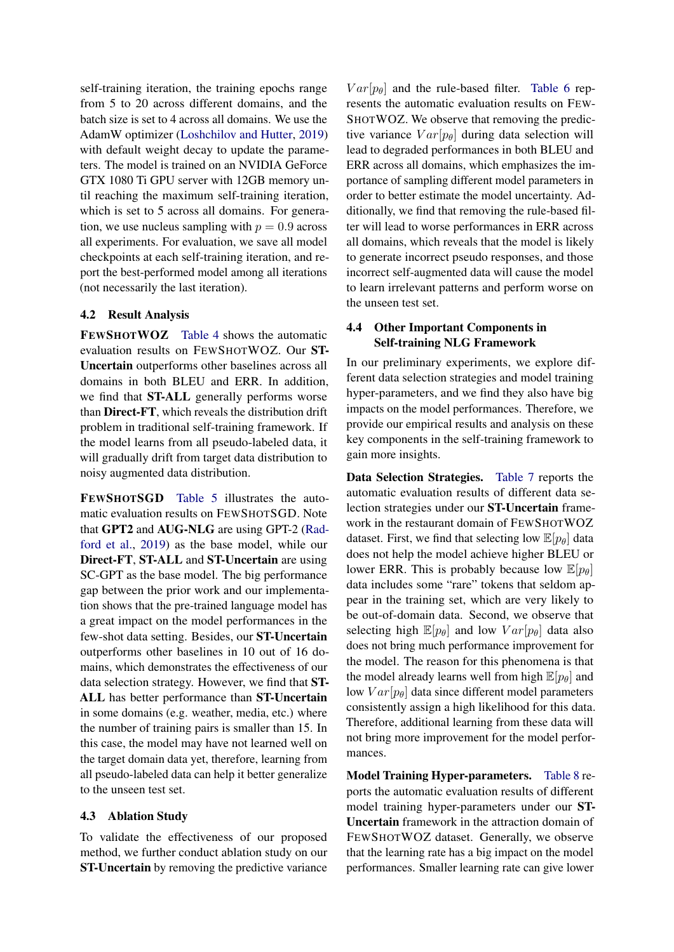self-training iteration, the training epochs range from 5 to 20 across different domains, and the batch size is set to 4 across all domains. We use the AdamW optimizer [\(Loshchilov and Hutter,](#page-9-18) [2019\)](#page-9-18) with default weight decay to update the parameters. The model is trained on an NVIDIA GeForce GTX 1080 Ti GPU server with 12GB memory until reaching the maximum self-training iteration, which is set to 5 across all domains. For generation, we use nucleus sampling with  $p = 0.9$  across all experiments. For evaluation, we save all model checkpoints at each self-training iteration, and report the best-performed model among all iterations (not necessarily the last iteration).

### 4.2 Result Analysis

FEWSHOTWOZ [Table 4](#page-6-0) shows the automatic evaluation results on FEWSHOTWOZ. Our ST-Uncertain outperforms other baselines across all domains in both BLEU and ERR. In addition, we find that ST-ALL generally performs worse than Direct-FT, which reveals the distribution drift problem in traditional self-training framework. If the model learns from all pseudo-labeled data, it will gradually drift from target data distribution to noisy augmented data distribution.

FEWSHOTSGD [Table 5](#page-6-1) illustrates the automatic evaluation results on FEWSHOTSGD. Note that GPT2 and AUG-NLG are using GPT-2 [\(Rad](#page-10-16)[ford et al.,](#page-10-16) [2019\)](#page-10-16) as the base model, while our Direct-FT, ST-ALL and ST-Uncertain are using SC-GPT as the base model. The big performance gap between the prior work and our implementation shows that the pre-trained language model has a great impact on the model performances in the few-shot data setting. Besides, our ST-Uncertain outperforms other baselines in 10 out of 16 domains, which demonstrates the effectiveness of our data selection strategy. However, we find that ST-ALL has better performance than ST-Uncertain in some domains (e.g. weather, media, etc.) where the number of training pairs is smaller than 15. In this case, the model may have not learned well on the target domain data yet, therefore, learning from all pseudo-labeled data can help it better generalize to the unseen test set.

#### 4.3 Ablation Study

To validate the effectiveness of our proposed method, we further conduct ablation study on our ST-Uncertain by removing the predictive variance

 $Var[p_\theta]$  and the rule-based filter. [Table 6](#page-8-5) represents the automatic evaluation results on FEW-SHOTWOZ. We observe that removing the predictive variance  $Var[p_\theta]$  during data selection will lead to degraded performances in both BLEU and ERR across all domains, which emphasizes the importance of sampling different model parameters in order to better estimate the model uncertainty. Additionally, we find that removing the rule-based filter will lead to worse performances in ERR across all domains, which reveals that the model is likely to generate incorrect pseudo responses, and those incorrect self-augmented data will cause the model to learn irrelevant patterns and perform worse on the unseen test set.

## 4.4 Other Important Components in Self-training NLG Framework

In our preliminary experiments, we explore different data selection strategies and model training hyper-parameters, and we find they also have big impacts on the model performances. Therefore, we provide our empirical results and analysis on these key components in the self-training framework to gain more insights.

Data Selection Strategies. [Table 7](#page-8-6) reports the automatic evaluation results of different data selection strategies under our ST-Uncertain framework in the restaurant domain of FEWSHOTWOZ dataset. First, we find that selecting low  $\mathbb{E}[p_{\theta}]$  data does not help the model achieve higher BLEU or lower ERR. This is probably because low  $\mathbb{E}[p_{\theta}]$ data includes some "rare" tokens that seldom appear in the training set, which are very likely to be out-of-domain data. Second, we observe that selecting high  $\mathbb{E}[p_{\theta}]$  and low  $Var[p_{\theta}]$  data also does not bring much performance improvement for the model. The reason for this phenomena is that the model already learns well from high  $\mathbb{E}[p_{\theta}]$  and low  $Var[p_\theta]$  data since different model parameters consistently assign a high likelihood for this data. Therefore, additional learning from these data will not bring more improvement for the model performances.

Model Training Hyper-parameters. [Table 8](#page-8-7) reports the automatic evaluation results of different model training hyper-parameters under our ST-Uncertain framework in the attraction domain of FEWSHOTWOZ dataset. Generally, we observe that the learning rate has a big impact on the model performances. Smaller learning rate can give lower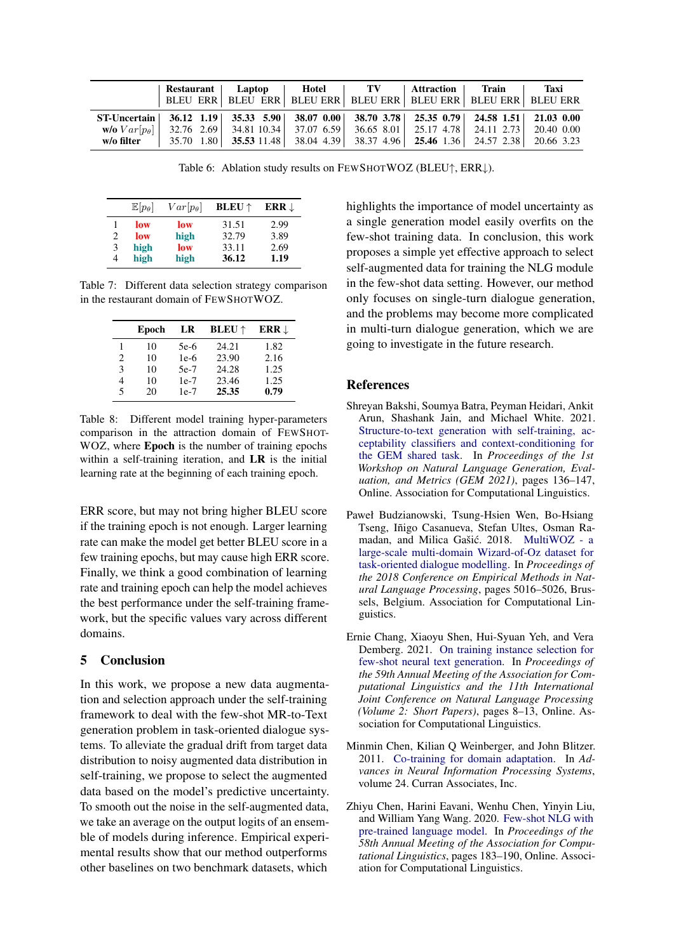<span id="page-8-5"></span>

|                                                                                           | Restaurant Laptop |                                                                                                               | Hotel | <b>TV</b> | Attraction Train | Taxi |
|-------------------------------------------------------------------------------------------|-------------------|---------------------------------------------------------------------------------------------------------------|-------|-----------|------------------|------|
|                                                                                           |                   | BLEU ERR   BLEU ERR   BLEU ERR   BLEU ERR   BLEU ERR   BLEU ERR   BLEU ERR                                    |       |           |                  |      |
| ST-Uncertain 36.12 1.19 35.33 5.90 38.07 0.00 38.70 3.78 25.35 0.79 24.58 1.51 21.03 0.00 |                   |                                                                                                               |       |           |                  |      |
|                                                                                           |                   | $\mathbf{w}$ /0 $Var[p_\theta]$ 32.76 2.69 34.81 10.34 37.07 6.59 36.65 8.01 25.17 4.78 24.11 2.73 20.40 0.00 |       |           |                  |      |
| w/o filter                                                                                |                   | 35.70 1.80 35.53 11.48 38.04 4.39 38.37 4.96 25.46 1.36 24.57 2.38 20.66 3.23                                 |       |           |                  |      |

Table 6: Ablation study results on FEWSHOTWOZ (BLEU↑, ERR↓).

<span id="page-8-6"></span>

|   | $\mathbb{E}[p_{\theta}]$ | $Var[p_{\theta}]$ | <b>BLEU</b> $\uparrow$ | ERR $\downarrow$ |
|---|--------------------------|-------------------|------------------------|------------------|
|   | low                      | low               | 31.51                  | 2.99             |
| 2 | low                      | high              | 32.79                  | 3.89             |
| 3 | high                     | low               | 33.11                  | 2.69             |
| 4 | high                     | high              | 36.12                  | 1.19             |

<span id="page-8-7"></span>Table 7: Different data selection strategy comparison in the restaurant domain of FEWSHOTWOZ.

|                             | Epoch | LR     | <b>BLEU</b> $\uparrow$ | ERR $\downarrow$ |
|-----------------------------|-------|--------|------------------------|------------------|
| 1                           | 10    | $5e-6$ | 24.21                  | 1.82             |
| $\mathcal{D}_{\mathcal{L}}$ | 10    | $1e-6$ | 23.90                  | 2.16             |
| 3                           | 10    | $5e-7$ | 24.28                  | 1.25             |
| 4                           | 10    | $1e-7$ | 23.46                  | 1.25             |
| 5                           | 20    | $1e-7$ | 25.35                  | 0.79             |

Table 8: Different model training hyper-parameters comparison in the attraction domain of FEWSHOT-WOZ, where Epoch is the number of training epochs within a self-training iteration, and **LR** is the initial learning rate at the beginning of each training epoch.

ERR score, but may not bring higher BLEU score if the training epoch is not enough. Larger learning rate can make the model get better BLEU score in a few training epochs, but may cause high ERR score. Finally, we think a good combination of learning rate and training epoch can help the model achieves the best performance under the self-training framework, but the specific values vary across different domains.

### 5 Conclusion

In this work, we propose a new data augmentation and selection approach under the self-training framework to deal with the few-shot MR-to-Text generation problem in task-oriented dialogue systems. To alleviate the gradual drift from target data distribution to noisy augmented data distribution in self-training, we propose to select the augmented data based on the model's predictive uncertainty. To smooth out the noise in the self-augmented data, we take an average on the output logits of an ensemble of models during inference. Empirical experimental results show that our method outperforms other baselines on two benchmark datasets, which

highlights the importance of model uncertainty as a single generation model easily overfits on the few-shot training data. In conclusion, this work proposes a simple yet effective approach to select self-augmented data for training the NLG module in the few-shot data setting. However, our method only focuses on single-turn dialogue generation, and the problems may become more complicated in multi-turn dialogue generation, which we are going to investigate in the future research.

### References

- <span id="page-8-2"></span>Shreyan Bakshi, Soumya Batra, Peyman Heidari, Ankit Arun, Shashank Jain, and Michael White. 2021. [Structure-to-text generation with self-training, ac](https://doi.org/10.18653/v1/2021.gem-1.12)[ceptability classifiers and context-conditioning for](https://doi.org/10.18653/v1/2021.gem-1.12) [the GEM shared task.](https://doi.org/10.18653/v1/2021.gem-1.12) In *Proceedings of the 1st Workshop on Natural Language Generation, Evaluation, and Metrics (GEM 2021)*, pages 136–147, Online. Association for Computational Linguistics.
- <span id="page-8-4"></span>Paweł Budzianowski, Tsung-Hsien Wen, Bo-Hsiang Tseng, Iñigo Casanueva, Stefan Ultes, Osman Ra-madan, and Milica Gašić. 2018. [MultiWOZ - a](https://doi.org/10.18653/v1/D18-1547) [large-scale multi-domain Wizard-of-Oz dataset for](https://doi.org/10.18653/v1/D18-1547) [task-oriented dialogue modelling.](https://doi.org/10.18653/v1/D18-1547) In *Proceedings of the 2018 Conference on Empirical Methods in Natural Language Processing*, pages 5016–5026, Brussels, Belgium. Association for Computational Linguistics.
- <span id="page-8-3"></span>Ernie Chang, Xiaoyu Shen, Hui-Syuan Yeh, and Vera Demberg. 2021. [On training instance selection for](https://doi.org/10.18653/v1/2021.acl-short.2) [few-shot neural text generation.](https://doi.org/10.18653/v1/2021.acl-short.2) In *Proceedings of the 59th Annual Meeting of the Association for Computational Linguistics and the 11th International Joint Conference on Natural Language Processing (Volume 2: Short Papers)*, pages 8–13, Online. Association for Computational Linguistics.
- <span id="page-8-1"></span>Minmin Chen, Kilian Q Weinberger, and John Blitzer. 2011. [Co-training for domain adaptation.](https://proceedings.neurips.cc/paper/2011/file/93fb9d4b16aa750c7475b6d601c35c2c-Paper.pdf) In *Advances in Neural Information Processing Systems*, volume 24. Curran Associates, Inc.
- <span id="page-8-0"></span>Zhiyu Chen, Harini Eavani, Wenhu Chen, Yinyin Liu, and William Yang Wang. 2020. [Few-shot NLG with](https://doi.org/10.18653/v1/2020.acl-main.18) [pre-trained language model.](https://doi.org/10.18653/v1/2020.acl-main.18) In *Proceedings of the 58th Annual Meeting of the Association for Computational Linguistics*, pages 183–190, Online. Association for Computational Linguistics.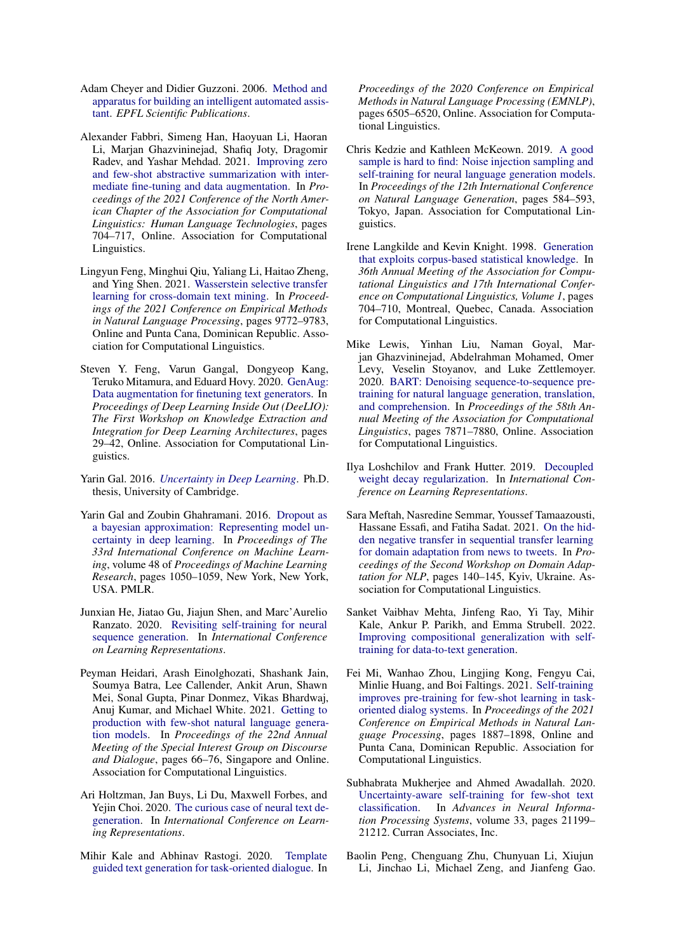- <span id="page-9-12"></span>Adam Cheyer and Didier Guzzoni. 2006. [Method and](http://infoscience.epfl.ch/record/99043) [apparatus for building an intelligent automated assis](http://infoscience.epfl.ch/record/99043)[tant.](http://infoscience.epfl.ch/record/99043) *EPFL Scientific Publications*.
- <span id="page-9-5"></span>Alexander Fabbri, Simeng Han, Haoyuan Li, Haoran Li, Marjan Ghazvininejad, Shafiq Joty, Dragomir Radev, and Yashar Mehdad. 2021. [Improving zero](https://doi.org/10.18653/v1/2021.naacl-main.57) [and few-shot abstractive summarization with inter](https://doi.org/10.18653/v1/2021.naacl-main.57)[mediate fine-tuning and data augmentation.](https://doi.org/10.18653/v1/2021.naacl-main.57) In *Proceedings of the 2021 Conference of the North American Chapter of the Association for Computational Linguistics: Human Language Technologies*, pages 704–717, Online. Association for Computational Linguistics.
- <span id="page-9-3"></span>Lingyun Feng, Minghui Qiu, Yaliang Li, Haitao Zheng, and Ying Shen. 2021. [Wasserstein selective transfer](https://doi.org/10.18653/v1/2021.emnlp-main.770) [learning for cross-domain text mining.](https://doi.org/10.18653/v1/2021.emnlp-main.770) In *Proceedings of the 2021 Conference on Empirical Methods in Natural Language Processing*, pages 9772–9783, Online and Punta Cana, Dominican Republic. Association for Computational Linguistics.
- <span id="page-9-4"></span>Steven Y. Feng, Varun Gangal, Dongyeop Kang, Teruko Mitamura, and Eduard Hovy. 2020. [GenAug:](https://doi.org/10.18653/v1/2020.deelio-1.4) [Data augmentation for finetuning text generators.](https://doi.org/10.18653/v1/2020.deelio-1.4) In *Proceedings of Deep Learning Inside Out (DeeLIO): The First Workshop on Knowledge Extraction and Integration for Deep Learning Architectures*, pages 29–42, Online. Association for Computational Linguistics.
- <span id="page-9-17"></span>Yarin Gal. 2016. *[Uncertainty in Deep Learning](https://mlg.eng.cam.ac.uk/yarin/thesis/thesis.pdf)*. Ph.D. thesis, University of Cambridge.
- <span id="page-9-10"></span>Yarin Gal and Zoubin Ghahramani. 2016. [Dropout as](https://proceedings.mlr.press/v48/gal16.html) [a bayesian approximation: Representing model un](https://proceedings.mlr.press/v48/gal16.html)[certainty in deep learning.](https://proceedings.mlr.press/v48/gal16.html) In *Proceedings of The 33rd International Conference on Machine Learning*, volume 48 of *Proceedings of Machine Learning Research*, pages 1050–1059, New York, New York, USA. PMLR.
- <span id="page-9-14"></span>Junxian He, Jiatao Gu, Jiajun Shen, and Marc'Aurelio Ranzato. 2020. [Revisiting self-training for neural](https://openreview.net/forum?id=SJgdnAVKDH) [sequence generation.](https://openreview.net/forum?id=SJgdnAVKDH) In *International Conference on Learning Representations*.
- <span id="page-9-6"></span>Peyman Heidari, Arash Einolghozati, Shashank Jain, Soumya Batra, Lee Callender, Ankit Arun, Shawn Mei, Sonal Gupta, Pinar Donmez, Vikas Bhardwaj, Anuj Kumar, and Michael White. 2021. [Getting to](https://aclanthology.org/2021.sigdial-1.8) [production with few-shot natural language genera](https://aclanthology.org/2021.sigdial-1.8)[tion models.](https://aclanthology.org/2021.sigdial-1.8) In *Proceedings of the 22nd Annual Meeting of the Special Interest Group on Discourse and Dialogue*, pages 66–76, Singapore and Online. Association for Computational Linguistics.
- <span id="page-9-16"></span>Ari Holtzman, Jan Buys, Li Du, Maxwell Forbes, and Yejin Choi. 2020. [The curious case of neural text de](https://openreview.net/forum?id=rygGQyrFvH)[generation.](https://openreview.net/forum?id=rygGQyrFvH) In *International Conference on Learning Representations*.
- <span id="page-9-0"></span>Mihir Kale and Abhinav Rastogi. 2020. [Template](https://doi.org/10.18653/v1/2020.emnlp-main.527) [guided text generation for task-oriented dialogue.](https://doi.org/10.18653/v1/2020.emnlp-main.527) In

*Proceedings of the 2020 Conference on Empirical Methods in Natural Language Processing (EMNLP)*, pages 6505–6520, Online. Association for Computational Linguistics.

- <span id="page-9-13"></span>Chris Kedzie and Kathleen McKeown. 2019. [A good](https://doi.org/10.18653/v1/W19-8672) [sample is hard to find: Noise injection sampling and](https://doi.org/10.18653/v1/W19-8672) [self-training for neural language generation models.](https://doi.org/10.18653/v1/W19-8672) In *Proceedings of the 12th International Conference on Natural Language Generation*, pages 584–593, Tokyo, Japan. Association for Computational Linguistics.
- <span id="page-9-11"></span>Irene Langkilde and Kevin Knight. 1998. [Generation](https://doi.org/10.3115/980845.980963) [that exploits corpus-based statistical knowledge.](https://doi.org/10.3115/980845.980963) In *36th Annual Meeting of the Association for Computational Linguistics and 17th International Conference on Computational Linguistics, Volume 1*, pages 704–710, Montreal, Quebec, Canada. Association for Computational Linguistics.
- <span id="page-9-15"></span>Mike Lewis, Yinhan Liu, Naman Goyal, Marjan Ghazvininejad, Abdelrahman Mohamed, Omer Levy, Veselin Stoyanov, and Luke Zettlemoyer. 2020. [BART: Denoising sequence-to-sequence pre](https://doi.org/10.18653/v1/2020.acl-main.703)[training for natural language generation, translation,](https://doi.org/10.18653/v1/2020.acl-main.703) [and comprehension.](https://doi.org/10.18653/v1/2020.acl-main.703) In *Proceedings of the 58th Annual Meeting of the Association for Computational Linguistics*, pages 7871–7880, Online. Association for Computational Linguistics.
- <span id="page-9-18"></span>Ilya Loshchilov and Frank Hutter. 2019. [Decoupled](https://openreview.net/forum?id=Bkg6RiCqY7) [weight decay regularization.](https://openreview.net/forum?id=Bkg6RiCqY7) In *International Conference on Learning Representations*.
- <span id="page-9-2"></span>Sara Meftah, Nasredine Semmar, Youssef Tamaazousti, Hassane Essafi, and Fatiha Sadat. 2021. [On the hid](https://aclanthology.org/2021.adaptnlp-1.14)[den negative transfer in sequential transfer learning](https://aclanthology.org/2021.adaptnlp-1.14) [for domain adaptation from news to tweets.](https://aclanthology.org/2021.adaptnlp-1.14) In *Proceedings of the Second Workshop on Domain Adaptation for NLP*, pages 140–145, Kyiv, Ukraine. Association for Computational Linguistics.
- <span id="page-9-8"></span>Sanket Vaibhav Mehta, Jinfeng Rao, Yi Tay, Mihir Kale, Ankur P. Parikh, and Emma Strubell. 2022. [Improving compositional generalization with self](http://arxiv.org/abs/2110.08467)[training for data-to-text generation.](http://arxiv.org/abs/2110.08467)
- <span id="page-9-7"></span>Fei Mi, Wanhao Zhou, Lingjing Kong, Fengyu Cai, Minlie Huang, and Boi Faltings. 2021. [Self-training](https://doi.org/10.18653/v1/2021.emnlp-main.142) [improves pre-training for few-shot learning in task](https://doi.org/10.18653/v1/2021.emnlp-main.142)[oriented dialog systems.](https://doi.org/10.18653/v1/2021.emnlp-main.142) In *Proceedings of the 2021 Conference on Empirical Methods in Natural Language Processing*, pages 1887–1898, Online and Punta Cana, Dominican Republic. Association for Computational Linguistics.
- <span id="page-9-9"></span>Subhabrata Mukherjee and Ahmed Awadallah. 2020. [Uncertainty-aware self-training for few-shot text](https://proceedings.neurips.cc/paper/2020/file/f23d125da1e29e34c552f448610ff25f-Paper.pdf) [classification.](https://proceedings.neurips.cc/paper/2020/file/f23d125da1e29e34c552f448610ff25f-Paper.pdf) In *Advances in Neural Information Processing Systems*, volume 33, pages 21199– 21212. Curran Associates, Inc.
- <span id="page-9-1"></span>Baolin Peng, Chenguang Zhu, Chunyuan Li, Xiujun Li, Jinchao Li, Michael Zeng, and Jianfeng Gao.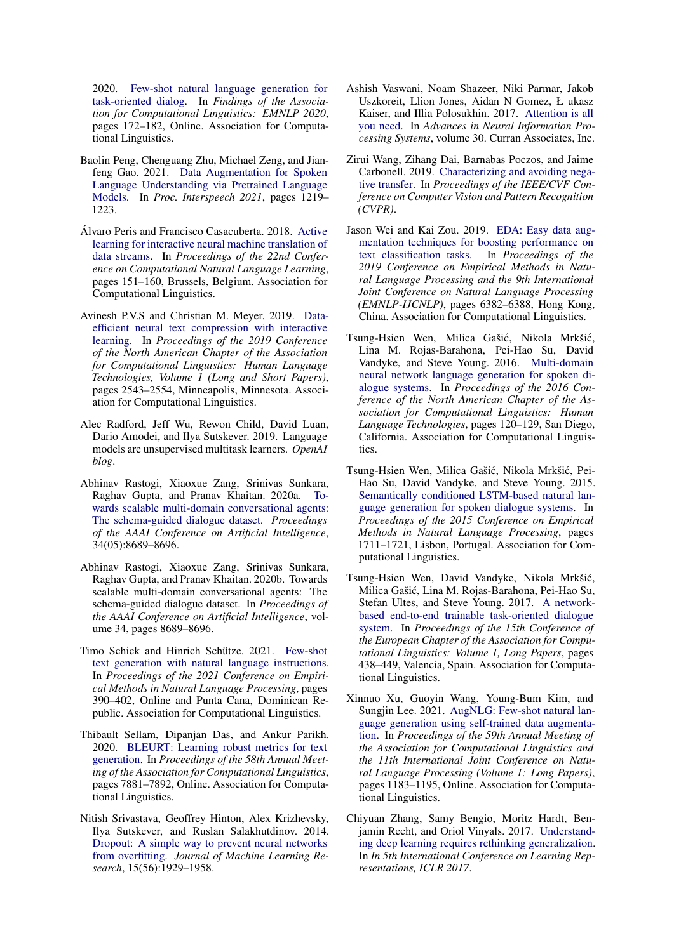2020. [Few-shot natural language generation for](https://doi.org/10.18653/v1/2020.findings-emnlp.17) [task-oriented dialog.](https://doi.org/10.18653/v1/2020.findings-emnlp.17) In *Findings of the Association for Computational Linguistics: EMNLP 2020*, pages 172–182, Online. Association for Computational Linguistics.

- <span id="page-10-5"></span>Baolin Peng, Chenguang Zhu, Michael Zeng, and Jianfeng Gao. 2021. [Data Augmentation for Spoken](https://doi.org/10.21437/Interspeech.2021-117) [Language Understanding via Pretrained Language](https://doi.org/10.21437/Interspeech.2021-117) [Models.](https://doi.org/10.21437/Interspeech.2021-117) In *Proc. Interspeech 2021*, pages 1219– 1223.
- <span id="page-10-6"></span>Álvaro Peris and Francisco Casacuberta. 2018. [Active](https://doi.org/10.18653/v1/K18-1015) [learning for interactive neural machine translation of](https://doi.org/10.18653/v1/K18-1015) [data streams.](https://doi.org/10.18653/v1/K18-1015) In *Proceedings of the 22nd Conference on Computational Natural Language Learning*, pages 151–160, Brussels, Belgium. Association for Computational Linguistics.
- <span id="page-10-7"></span>Avinesh P.V.S and Christian M. Meyer. 2019. [Data](https://doi.org/10.18653/v1/N19-1262)[efficient neural text compression with interactive](https://doi.org/10.18653/v1/N19-1262) [learning.](https://doi.org/10.18653/v1/N19-1262) In *Proceedings of the 2019 Conference of the North American Chapter of the Association for Computational Linguistics: Human Language Technologies, Volume 1 (Long and Short Papers)*, pages 2543–2554, Minneapolis, Minnesota. Association for Computational Linguistics.
- <span id="page-10-16"></span>Alec Radford, Jeff Wu, Rewon Child, David Luan, Dario Amodei, and Ilya Sutskever. 2019. Language models are unsupervised multitask learners. *OpenAI blog*.
- <span id="page-10-1"></span>Abhinav Rastogi, Xiaoxue Zang, Srinivas Sunkara, Raghav Gupta, and Pranav Khaitan. 2020a. [To](https://doi.org/10.1609/aaai.v34i05.6394)[wards scalable multi-domain conversational agents:](https://doi.org/10.1609/aaai.v34i05.6394) [The schema-guided dialogue dataset.](https://doi.org/10.1609/aaai.v34i05.6394) *Proceedings of the AAAI Conference on Artificial Intelligence*, 34(05):8689–8696.
- <span id="page-10-15"></span>Abhinav Rastogi, Xiaoxue Zang, Srinivas Sunkara, Raghav Gupta, and Pranav Khaitan. 2020b. Towards scalable multi-domain conversational agents: The schema-guided dialogue dataset. In *Proceedings of the AAAI Conference on Artificial Intelligence*, volume 34, pages 8689–8696.
- <span id="page-10-11"></span>Timo Schick and Hinrich Schütze. 2021. [Few-shot](https://doi.org/10.18653/v1/2021.emnlp-main.32) [text generation with natural language instructions.](https://doi.org/10.18653/v1/2021.emnlp-main.32) In *Proceedings of the 2021 Conference on Empirical Methods in Natural Language Processing*, pages 390–402, Online and Punta Cana, Dominican Republic. Association for Computational Linguistics.
- <span id="page-10-12"></span>Thibault Sellam, Dipanjan Das, and Ankur Parikh. 2020. [BLEURT: Learning robust metrics for text](https://doi.org/10.18653/v1/2020.acl-main.704) [generation.](https://doi.org/10.18653/v1/2020.acl-main.704) In *Proceedings of the 58th Annual Meeting of the Association for Computational Linguistics*, pages 7881–7892, Online. Association for Computational Linguistics.
- <span id="page-10-13"></span>Nitish Srivastava, Geoffrey Hinton, Alex Krizhevsky, Ilya Sutskever, and Ruslan Salakhutdinov. 2014. [Dropout: A simple way to prevent neural networks](http://jmlr.org/papers/v15/srivastava14a.html) [from overfitting.](http://jmlr.org/papers/v15/srivastava14a.html) *Journal of Machine Learning Research*, 15(56):1929–1958.
- <span id="page-10-8"></span>Ashish Vaswani, Noam Shazeer, Niki Parmar, Jakob Uszkoreit, Llion Jones, Aidan N Gomez, Ł ukasz Kaiser, and Illia Polosukhin. 2017. [Attention is all](https://proceedings.neurips.cc/paper/2017/file/3f5ee243547dee91fbd053c1c4a845aa-Paper.pdf) [you need.](https://proceedings.neurips.cc/paper/2017/file/3f5ee243547dee91fbd053c1c4a845aa-Paper.pdf) In *Advances in Neural Information Processing Systems*, volume 30. Curran Associates, Inc.
- <span id="page-10-2"></span>Zirui Wang, Zihang Dai, Barnabas Poczos, and Jaime Carbonell. 2019. [Characterizing and avoiding nega](https://openaccess.thecvf.com/content_CVPR_2019/html/Wang_Characterizing_and_Avoiding_Negative_Transfer_CVPR_2019_paper.html)[tive transfer.](https://openaccess.thecvf.com/content_CVPR_2019/html/Wang_Characterizing_and_Avoiding_Negative_Transfer_CVPR_2019_paper.html) In *Proceedings of the IEEE/CVF Conference on Computer Vision and Pattern Recognition (CVPR)*.
- <span id="page-10-3"></span>Jason Wei and Kai Zou. 2019. [EDA: Easy data aug](https://doi.org/10.18653/v1/D19-1670)[mentation techniques for boosting performance on](https://doi.org/10.18653/v1/D19-1670)<br>text classification tasks. In *Proceedings of the* [text classification tasks.](https://doi.org/10.18653/v1/D19-1670) *2019 Conference on Empirical Methods in Natural Language Processing and the 9th International Joint Conference on Natural Language Processing (EMNLP-IJCNLP)*, pages 6382–6388, Hong Kong, China. Association for Computational Linguistics.
- <span id="page-10-14"></span>Tsung-Hsien Wen, Milica Gašić, Nikola Mrkšić, Lina M. Rojas-Barahona, Pei-Hao Su, David Vandyke, and Steve Young. 2016. [Multi-domain](https://doi.org/10.18653/v1/N16-1015) [neural network language generation for spoken di](https://doi.org/10.18653/v1/N16-1015)[alogue systems.](https://doi.org/10.18653/v1/N16-1015) In *Proceedings of the 2016 Conference of the North American Chapter of the Association for Computational Linguistics: Human Language Technologies*, pages 120–129, San Diego, California. Association for Computational Linguistics.
- <span id="page-10-0"></span>Tsung-Hsien Wen, Milica Gašić, Nikola Mrkšić, Pei-Hao Su, David Vandyke, and Steve Young. 2015. [Semantically conditioned LSTM-based natural lan](https://doi.org/10.18653/v1/D15-1199)[guage generation for spoken dialogue systems.](https://doi.org/10.18653/v1/D15-1199) In *Proceedings of the 2015 Conference on Empirical Methods in Natural Language Processing*, pages 1711–1721, Lisbon, Portugal. Association for Computational Linguistics.
- <span id="page-10-10"></span>Tsung-Hsien Wen, David Vandyke, Nikola Mrkšic,´ Milica Gašic, Lina M. Rojas-Barahona, Pei-Hao Su, ´ Stefan Ultes, and Steve Young. 2017. [A network](https://aclanthology.org/E17-1042)[based end-to-end trainable task-oriented dialogue](https://aclanthology.org/E17-1042) [system.](https://aclanthology.org/E17-1042) In *Proceedings of the 15th Conference of the European Chapter of the Association for Computational Linguistics: Volume 1, Long Papers*, pages 438–449, Valencia, Spain. Association for Computational Linguistics.
- <span id="page-10-4"></span>Xinnuo Xu, Guoyin Wang, Young-Bum Kim, and Sungjin Lee. 2021. [AugNLG: Few-shot natural lan](https://doi.org/10.18653/v1/2021.acl-long.95)[guage generation using self-trained data augmenta](https://doi.org/10.18653/v1/2021.acl-long.95)[tion.](https://doi.org/10.18653/v1/2021.acl-long.95) In *Proceedings of the 59th Annual Meeting of the Association for Computational Linguistics and the 11th International Joint Conference on Natural Language Processing (Volume 1: Long Papers)*, pages 1183–1195, Online. Association for Computational Linguistics.
- <span id="page-10-9"></span>Chiyuan Zhang, Samy Bengio, Moritz Hardt, Benjamin Recht, and Oriol Vinyals. 2017. [Understand](https://openreview.net/forum?id=Sy8gdB9xx)[ing deep learning requires rethinking generalization.](https://openreview.net/forum?id=Sy8gdB9xx) In *In 5th International Conference on Learning Representations, ICLR 2017*.